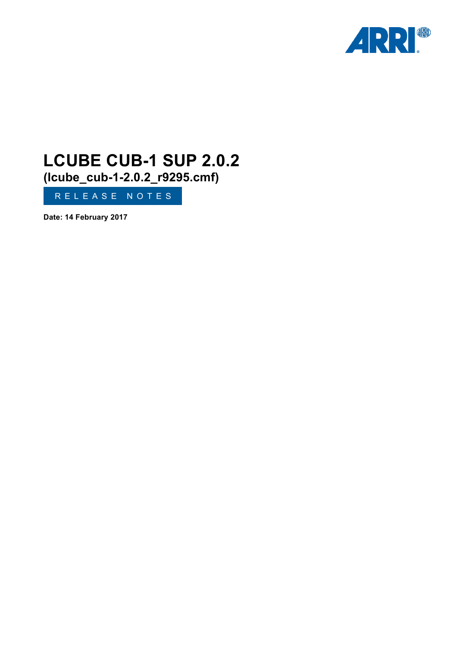

# **LCUBE CUB-1 SUP 2.0.2 (lcube\_cub-1-2.0.2\_r9295.cmf)**

RELEASE NOTES

**Date: 14 February 2017**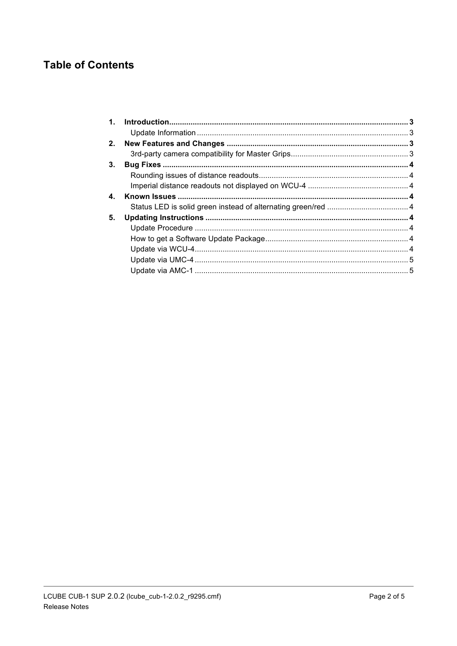# **Table of Contents**

| 1. |  |
|----|--|
|    |  |
| 2. |  |
|    |  |
| 3. |  |
|    |  |
|    |  |
| 4. |  |
|    |  |
| 5. |  |
|    |  |
|    |  |
|    |  |
|    |  |
|    |  |
|    |  |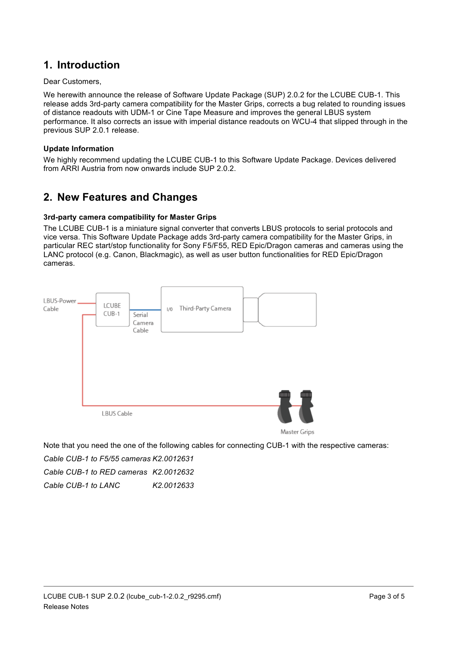## **1. Introduction**

#### Dear Customers,

We herewith announce the release of Software Update Package (SUP) 2.0.2 for the LCUBE CUB-1. This release adds 3rd-party camera compatibility for the Master Grips, corrects a bug related to rounding issues of distance readouts with UDM-1 or Cine Tape Measure and improves the general LBUS system performance. It also corrects an issue with imperial distance readouts on WCU-4 that slipped through in the previous SUP 2.0.1 release.

#### **Update Information**

We highly recommend updating the LCUBE CUB-1 to this Software Update Package. Devices delivered from ARRI Austria from now onwards include SUP 2.0.2.

# **2. New Features and Changes**

#### **3rd-party camera compatibility for Master Grips**

The LCUBE CUB-1 is a miniature signal converter that converts LBUS protocols to serial protocols and vice versa. This Software Update Package adds 3rd-party camera compatibility for the Master Grips, in particular REC start/stop functionality for Sony F5/F55, RED Epic/Dragon cameras and cameras using the LANC protocol (e.g. Canon, Blackmagic), as well as user button functionalities for RED Epic/Dragon cameras.



Note that you need the one of the following cables for connecting CUB-1 with the respective cameras:

*Cable CUB-1 to F5/55 cameras K2.0012631*

*Cable CUB-1 to RED cameras K2.0012632*

*Cable CUB-1 to LANC K2.0012633*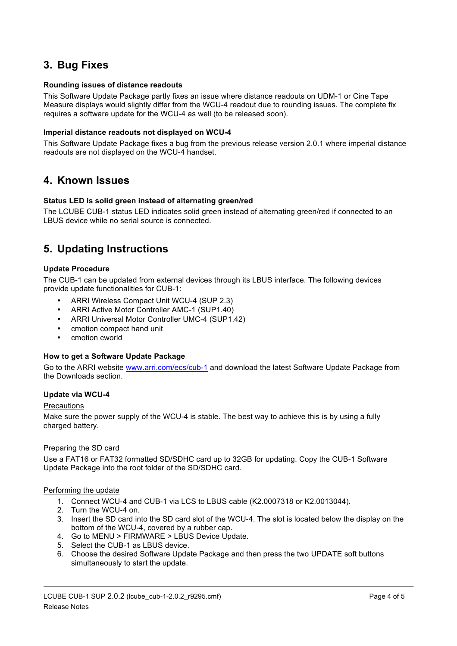# **3. Bug Fixes**

#### **Rounding issues of distance readouts**

This Software Update Package partly fixes an issue where distance readouts on UDM-1 or Cine Tape Measure displays would slightly differ from the WCU-4 readout due to rounding issues. The complete fix requires a software update for the WCU-4 as well (to be released soon).

#### **Imperial distance readouts not displayed on WCU-4**

This Software Update Package fixes a bug from the previous release version 2.0.1 where imperial distance readouts are not displayed on the WCU-4 handset.

### **4. Known Issues**

#### **Status LED is solid green instead of alternating green/red**

The LCUBE CUB-1 status LED indicates solid green instead of alternating green/red if connected to an LBUS device while no serial source is connected.

# **5. Updating Instructions**

#### **Update Procedure**

The CUB-1 can be updated from external devices through its LBUS interface. The following devices provide update functionalities for CUB-1:

- ARRI Wireless Compact Unit WCU-4 (SUP 2.3)
- ARRI Active Motor Controller AMC-1 (SUP1.40)
- ARRI Universal Motor Controller UMC-4 (SUP1.42)
- cmotion compact hand unit
- cmotion cworld

#### **How to get a Software Update Package**

Go to the ARRI website www.arri.com/ecs/cub-1 and download the latest Software Update Package from the Downloads section.

#### **Update via WCU-4**

#### **Precautions**

Make sure the power supply of the WCU-4 is stable. The best way to achieve this is by using a fully charged battery.

#### Preparing the SD card

Use a FAT16 or FAT32 formatted SD/SDHC card up to 32GB for updating. Copy the CUB-1 Software Update Package into the root folder of the SD/SDHC card.

#### Performing the update

- 1. Connect WCU-4 and CUB-1 via LCS to LBUS cable (K2.0007318 or K2.0013044).
- 2. Turn the WCU-4 on.
- 3. Insert the SD card into the SD card slot of the WCU-4. The slot is located below the display on the bottom of the WCU-4, covered by a rubber cap.
- 4. Go to MENU > FIRMWARE > LBUS Device Update.
- 5. Select the CUB-1 as LBUS device.
- 6. Choose the desired Software Update Package and then press the two UPDATE soft buttons simultaneously to start the update.